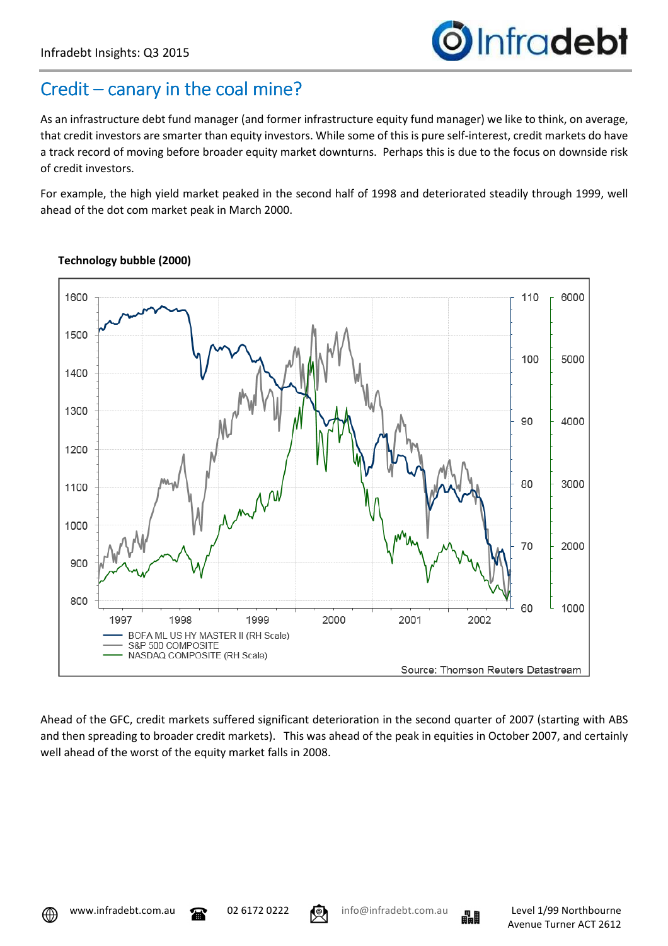## Credit – canary in the coal mine?

As an infrastructure debt fund manager (and former infrastructure equity fund manager) we like to think, on average, that credit investors are smarter than equity investors. While some of this is pure self-interest, credit markets do have a track record of moving before broader equity market downturns. Perhaps this is due to the focus on downside risk of credit investors.

For example, the high yield market peaked in the second half of 1998 and deteriorated steadily through 1999, well ahead of the dot com market peak in March 2000.



## **Technology bubble (2000)**

Ahead of the GFC, credit markets suffered significant deterioration in the second quarter of 2007 (starting with ABS and then spreading to broader credit markets). This was ahead of the peak in equities in October 2007, and certainly well ahead of the worst of the equity market falls in 2008.





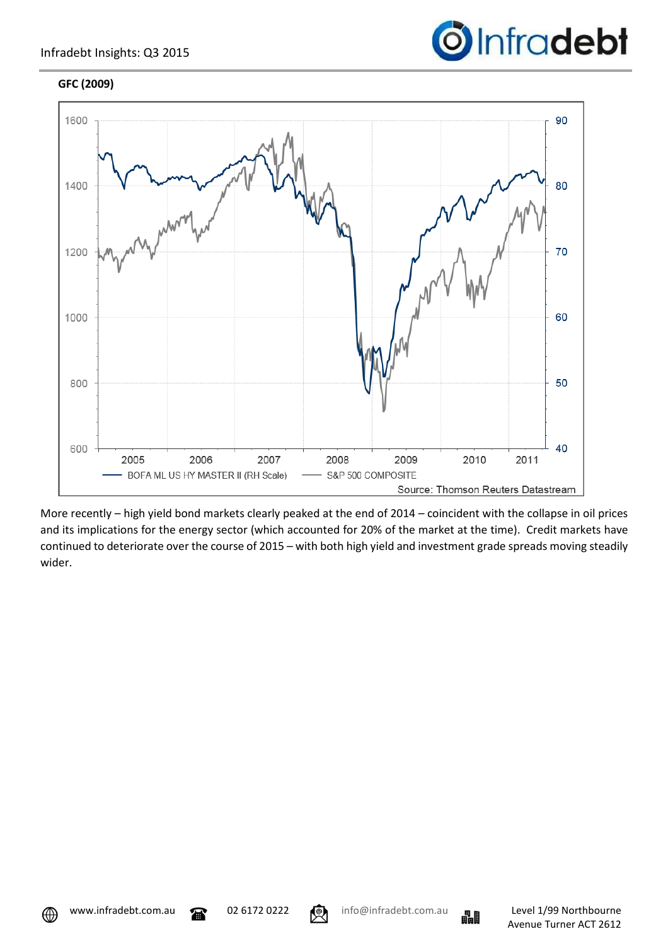## **GFC (2009)**





More recently – high yield bond markets clearly peaked at the end of 2014 – coincident with the collapse in oil prices and its implications for the energy sector (which accounted for 20% of the market at the time). Credit markets have continued to deteriorate over the course of 2015 – with both high yield and investment grade spreads moving steadily wider.